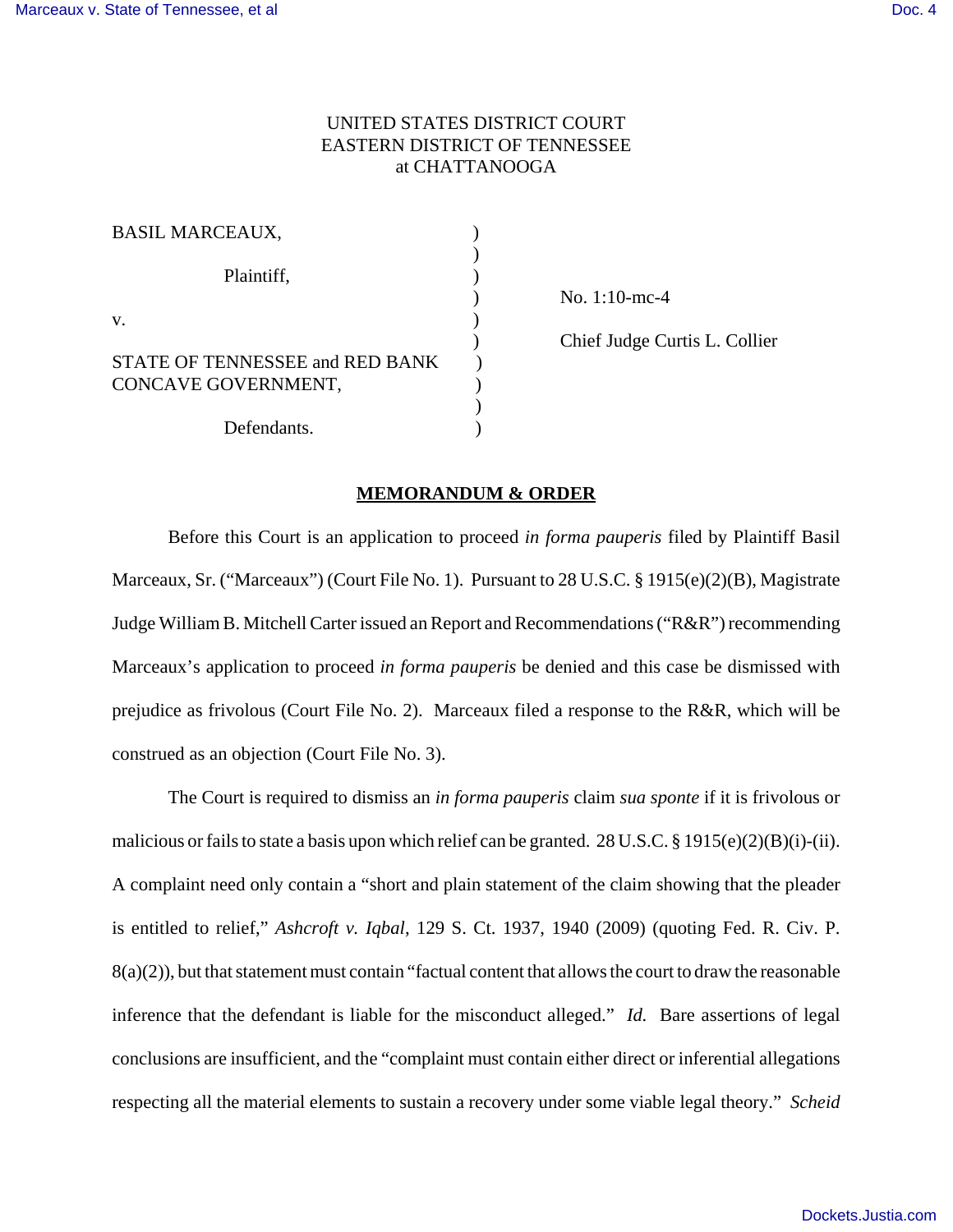## UNITED STATES DISTRICT COURT EASTERN DISTRICT OF TENNESSEE at CHATTANOOGA

| <b>BASIL MARCEAUX,</b>                                 |  |
|--------------------------------------------------------|--|
| Plaintiff,                                             |  |
| $V_{\cdot}$                                            |  |
| STATE OF TENNESSEE and RED BANK<br>CONCAVE GOVERNMENT, |  |
| Defendants.                                            |  |

) No. 1:10-mc-4

) Chief Judge Curtis L. Collier

## **MEMORANDUM & ORDER**

Before this Court is an application to proceed *in forma pauperis* filed by Plaintiff Basil Marceaux, Sr. ("Marceaux") (Court File No. 1). Pursuant to 28 U.S.C. § 1915(e)(2)(B), Magistrate Judge William B. Mitchell Carter issued an Report and Recommendations ("R&R") recommending Marceaux's application to proceed *in forma pauperis* be denied and this case be dismissed with prejudice as frivolous (Court File No. 2). Marceaux filed a response to the R&R, which will be construed as an objection (Court File No. 3).

The Court is required to dismiss an *in forma pauperis* claim *sua sponte* if it is frivolous or malicious or fails to state a basis upon which relief can be granted. 28 U.S.C. § 1915(e)(2)(B)(i)-(ii). A complaint need only contain a "short and plain statement of the claim showing that the pleader is entitled to relief," *Ashcroft v. Iqbal*, 129 S. Ct. 1937, 1940 (2009) (quoting Fed. R. Civ. P.  $8(a)(2)$ ), but that statement must contain "factual content that allows the court to draw the reasonable inference that the defendant is liable for the misconduct alleged." *Id.* Bare assertions of legal conclusions are insufficient, and the "complaint must contain either direct or inferential allegations respecting all the material elements to sustain a recovery under some viable legal theory." *Scheid*